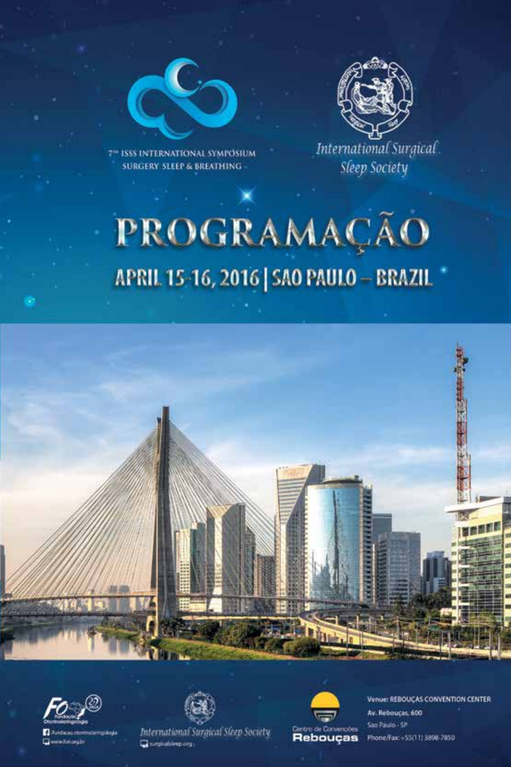



7<sup>10</sup> ISSS INTERNATIONAL SYMPOSIUM **SURGERY SLEEP & BREATHING** 

International Surgical **Sleep Society** 

# PROGRAMAÇÃO APRIL 15-16, 2016 | SAO PAULO - BRAZIL





*<u>mitorianub*</u>





**Venue: REBOUCAS CONVENTION CENTER** Av. Reboucas, 600 Sao Páulo - SP Phone/Fax: +55(11) 3898-7850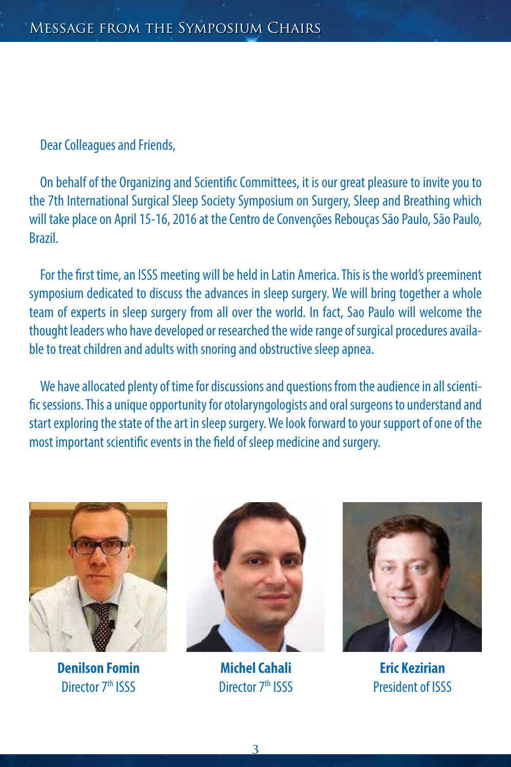#### Dear Colleagues and Friends,

On behalf of the Organizing and Scientific Committees, it is our great pleasure to invite you to the 7th International Surgical Sleep Society Symposium on Surgery, Sleep and Breathing which will take place on April 15-16, 2016 at the Centro de Convenções Rebouças São Paulo, São Paulo, Brazil.

For the first time, an ISSS meeting will be held in Latin America. This is the world's preeminent symposium dedicated to discuss the advances in sleep surgery. We will bring together a whole team of experts in sleep surgery from all over the world. In fact, Sao Paulo will welcome the thought leaders who have developed or researched the wide range of surgical procedures available to treat children and adults with snoring and obstructive sleep apnea.

We have allocated plenty of time for discussions and questions from the audience in all scientific sessions. This a unique opportunity for otolaryngologists and oral surgeons to understand and start exploring the state of the art in sleep surgery. We look forward to your support of one of the most important scientific events in the field of sleep medicine and surgery.



**Denilson Fomin** Director 7<sup>th</sup> ISSS



**Michel Cahali** Director 7<sup>th</sup> ISSS



**Eric Kezirian** President of ISSS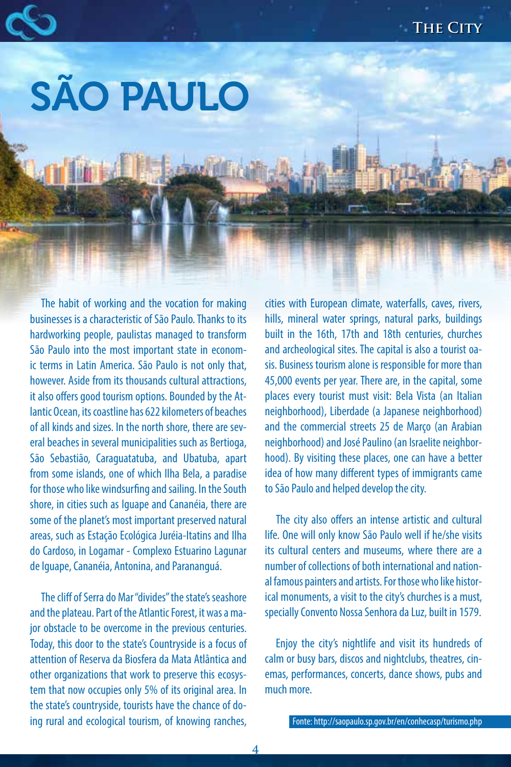SÃO PAULO

The habit of working and the vocation for making businesses is a characteristic of São Paulo. Thanks to its hardworking people, paulistas managed to transform São Paulo into the most important state in economic terms in Latin America. São Paulo is not only that, however. Aside from its thousands cultural attractions, it also offers good tourism options. Bounded by the Atlantic Ocean, its coastline has 622 kilometers of beaches of all kinds and sizes. In the north shore, there are several beaches in several municipalities such as Bertioga, São Sebastião, Caraguatatuba, and Ubatuba, apart from some islands, one of which Ilha Bela, a paradise for those who like windsurfing and sailing. In the South shore, in cities such as Iguape and Cananéia, there are some of the planet's most important preserved natural areas, such as Estação Ecológica Juréia-Itatins and Ilha do Cardoso, in Logamar - Complexo Estuarino Lagunar de Iguape, Cananéia, Antonina, and Parananguá.

The cliff of Serra do Mar "divides" the state's seashore and the plateau. Part of the Atlantic Forest, it was a major obstacle to be overcome in the previous centuries. Today, this door to the state's Countryside is a focus of attention of Reserva da Biosfera da Mata Atlântica and other organizations that work to preserve this ecosystem that now occupies only 5% of its original area. In the state's countryside, tourists have the chance of doing rural and ecological tourism, of knowing ranches,

cities with European climate, waterfalls, caves, rivers, hills, mineral water springs, natural parks, buildings built in the 16th, 17th and 18th centuries, churches and archeological sites. The capital is also a tourist oasis. Business tourism alone is responsible for more than 45,000 events per year. There are, in the capital, some places every tourist must visit: Bela Vista (an Italian neighborhood), Liberdade (a Japanese neighborhood) and the commercial streets 25 de Março (an Arabian neighborhood) and José Paulino (an Israelite neighborhood). By visiting these places, one can have a better idea of how many different types of immigrants came to São Paulo and helped develop the city.

The city also offers an intense artistic and cultural life. One will only know São Paulo well if he/she visits its cultural centers and museums, where there are a number of collections of both international and national famous painters and artists. For those who like historical monuments, a visit to the city's churches is a must, specially Convento Nossa Senhora da Luz, built in 1579.

Enjoy the city's nightlife and visit its hundreds of calm or busy bars, discos and nightclubs, theatres, cinemas, performances, concerts, dance shows, pubs and much more.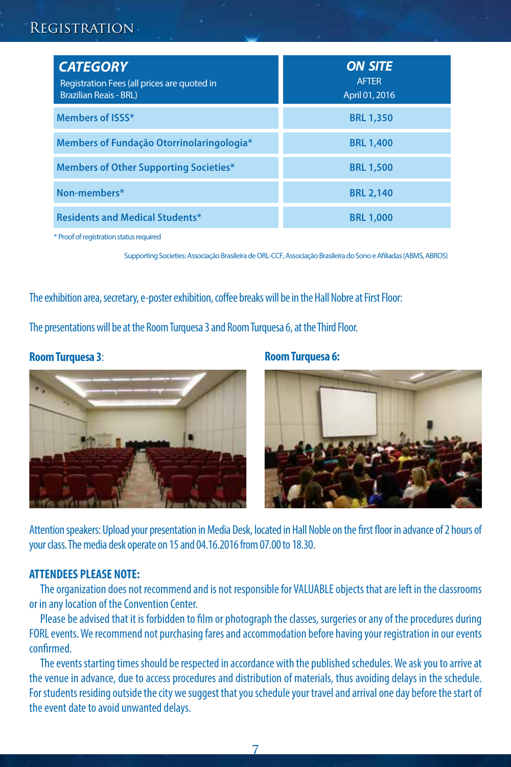### **REGISTRATION**

| <b>CATEGORY</b><br>Registration Fees (all prices are guoted in<br><b>Brazilian Reais - BRL)</b> | <b>ON SITE</b><br><b>AFTFR</b><br>April 01, 2016 |
|-------------------------------------------------------------------------------------------------|--------------------------------------------------|
| <b>Members of ISSS*</b>                                                                         | <b>BRL 1,350</b>                                 |
| Members of Fundação Otorrinolaringologia*                                                       | <b>BRL 1,400</b>                                 |
| <b>Members of Other Supporting Societies*</b>                                                   | <b>BRL 1,500</b>                                 |
| Non-members*                                                                                    | <b>BRL 2,140</b>                                 |
| <b>Residents and Medical Students*</b>                                                          | <b>BRL 1,000</b>                                 |

\* Proof of registration status required

Supporting Societies: Associação Brasileira de ORL-CCF, Associação Brasileira do Sono e Afiliadas (ABMS, ABROS)

The exhibition area, secretary, e-poster exhibition, coffee breaks will be in the Hall Nobre at First Floor:

The presentations will be at the Room Turquesa 3 and Room Turquesa 6, at the Third Floor.

#### **Room Turquesa 3**:



#### **Room Turquesa 6:**



Attention speakers: Upload your presentation in Media Desk, located in Hall Noble on the first floor in advance of 2 hours of your class. The media desk operate on 15 and 04.16.2016 from 07.00 to 18.30.

#### **ATTENDEES PLEASE NOTE:**

The organization does not recommend and is not responsible for VALUABLE objects that are left in the classrooms or in any location of the Convention Center.

Please be advised that it is forbidden to film or photograph the classes, surgeries or any of the procedures during FORL events. We recommend not purchasing fares and accommodation before having your registration in our events confirmed.

The events starting times should be respected in accordance with the published schedules. We ask you to arrive at the venue in advance, due to access procedures and distribution of materials, thus avoiding delays in the schedule. For students residing outside the city we suggest that you schedule your travel and arrival one day before the start of the event date to avoid unwanted delays.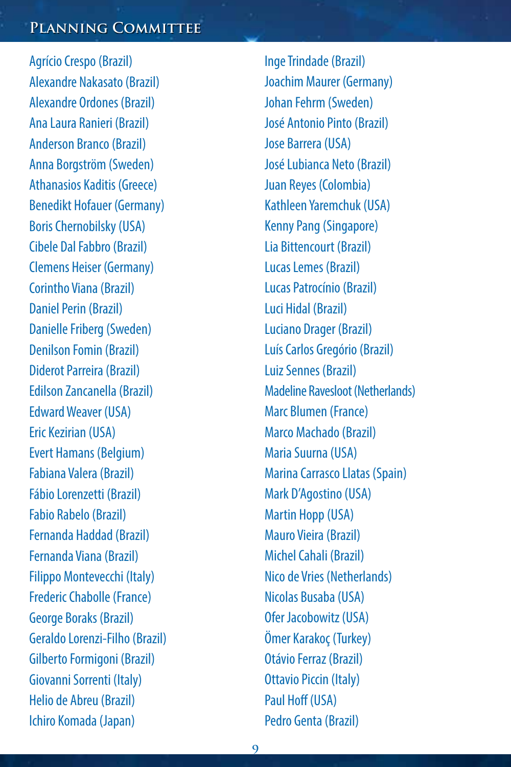#### PLANNING COMMITTEE

Agrício Crespo (Brazil) Alexandre Nakasato (Brazil) Alexandre Ordones (Brazil) Ana Laura Ranieri (Brazil) Anderson Branco (Brazil) Anna Borgström (Sweden) Athanasios Kaditis (Greece) Benedikt Hofauer (Germany) Boris Chernobilsky (USA) Cibele Dal Fabbro (Brazil) Clemens Heiser (Germany) Corintho Viana (Brazil) Daniel Perin (Brazil) Danielle Friberg (Sweden) Denilson Fomin (Brazil) Diderot Parreira (Brazil) Edilson Zancanella (Brazil) Edward Weaver (USA) Eric Kezirian (USA) Evert Hamans (Belgium) Fabiana Valera (Brazil) Fábio Lorenzetti (Brazil) Fabio Rabelo (Brazil) Fernanda Haddad (Brazil) Fernanda Viana (Brazil) Filippo Montevecchi (Italy) Frederic Chabolle (France) George Boraks (Brazil) Geraldo Lorenzi-Filho (Brazil) Gilberto Formigoni (Brazil) Giovanni Sorrenti (Italy) Helio de Abreu (Brazil) Ichiro Komada (Japan)

Inge Trindade (Brazil) Joachim Maurer (Germany) Johan Fehrm (Sweden) José Antonio Pinto (Brazil) Jose Barrera (USA) José Lubianca Neto (Brazil) Juan Reyes (Colombia) Kathleen Yaremchuk (USA) Kenny Pang (Singapore) Lia Bittencourt (Brazil) Lucas Lemes (Brazil) Lucas Patrocínio (Brazil) Luci Hidal (Brazil) Luciano Drager (Brazil) Luís Carlos Gregório (Brazil) Luiz Sennes (Brazil) Madeline Ravesloot (Netherlands) Marc Blumen (France) Marco Machado (Brazil) Maria Suurna (USA) Marina Carrasco Llatas (Spain) Mark D'Agostino (USA) Martin Hopp (USA) Mauro Vieira (Brazil) Michel Cahali (Brazil) Nico de Vries (Netherlands) Nicolas Busaba (USA) Ofer Jacobowitz (USA) Ömer Karakoç (Turkey) Otávio Ferraz (Brazil) Ottavio Piccin (Italy) Paul Hoff (USA) Pedro Genta (Brazil)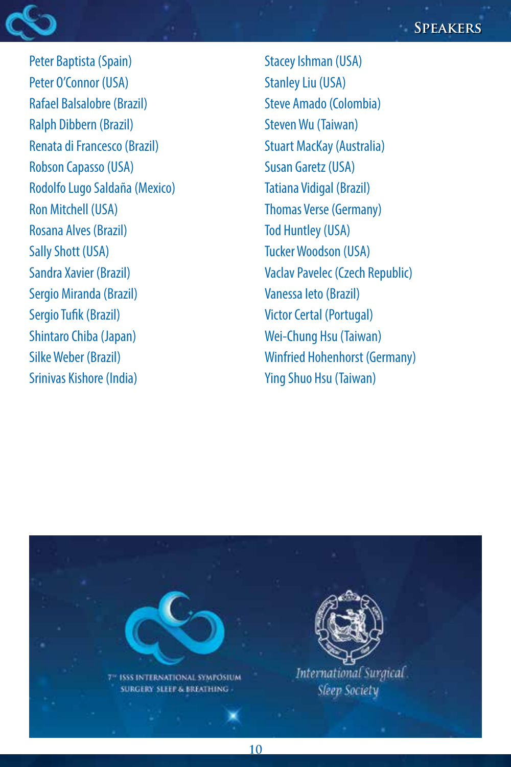

Peter Baptista (Spain) Peter O'Connor (USA) Rafael Balsalobre (Brazil) Ralph Dibbern (Brazil) Renata di Francesco (Brazil) Robson Capasso (USA) Rodolfo Lugo Saldaña (Mexico) Ron Mitchell (USA) Rosana Alves (Brazil) Sally Shott (USA) Sandra Xavier (Brazil) Sergio Miranda (Brazil) Sergio Tufik (Brazil) Shintaro Chiba (Japan) Silke Weber (Brazil) Srinivas Kishore (India)

Stacey Ishman (USA) Stanley Liu (USA) Steve Amado (Colombia) Steven Wu (Taiwan) Stuart MacKay (Australia) Susan Garetz (USA) Tatiana Vidigal (Brazil) Thomas Verse (Germany) Tod Huntley (USA) Tucker Woodson (USA) Vaclav Pavelec (Czech Republic) Vanessa Ieto (Brazil) Victor Certal (Portugal) Wei-Chung Hsu (Taiwan) Winfried Hohenhorst (Germany) Ying Shuo Hsu (Taiwan)

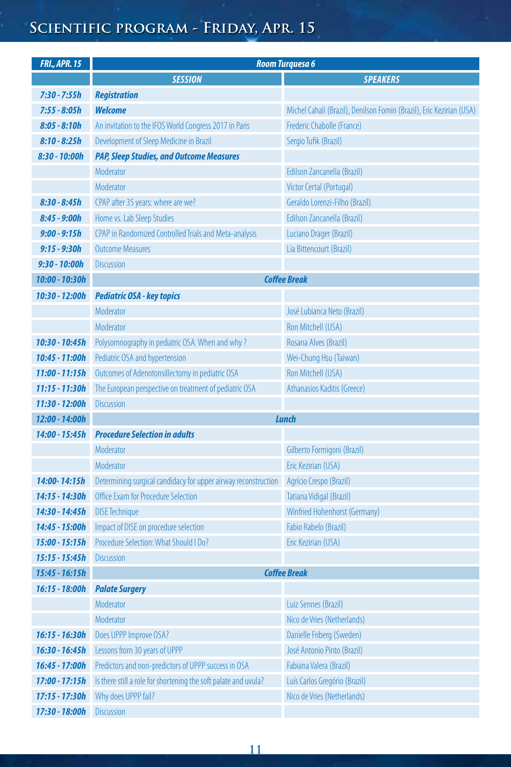# **Scientific program - Friday, Apr. 15**

| <b>FRI., APR. 15</b> |                                                                 | Room Turquesa 6                                                      |
|----------------------|-----------------------------------------------------------------|----------------------------------------------------------------------|
|                      | <b>SESSION</b>                                                  | <b>SPEAKERS</b>                                                      |
| $7:30 - 7:55h$       | <b>Registration</b>                                             |                                                                      |
| 7:55 - 8:05h         | <b>Welcome</b>                                                  | Michel Cahali (Brazil), Denilson Fomin (Brazil), Eric Kezirian (USA) |
| $8:05 - 8:10h$       | An invitation to the IFOS World Congress 2017 in Paris          | Frederic Chabolle (France)                                           |
| $8:10 - 8:25h$       | Development of Sleep Medicine in Brazil                         | Sergio Tufik (Brazil)                                                |
| 8:30 - 10:00h        | <b>PAP, Sleep Studies, and Outcome Measures</b>                 |                                                                      |
|                      | Moderator                                                       | Edilson Zancanella (Brazil)                                          |
|                      | Moderator                                                       | Victor Certal (Portugal)                                             |
| $8:30 - 8:45h$       | CPAP after 35 years: where are we?                              | Geraldo Lorenzi-Filho (Brazil)                                       |
| $8:45 - 9:00h$       | Home vs. Lab Sleep Studies                                      | Edilson Zancanella (Brazil)                                          |
| $9:00 - 9:15h$       | CPAP in Randomized Controlled Trials and Meta-analysis          | Luciano Drager (Brazil)                                              |
| $9:15 - 9:30h$       | <b>Outcome Measures</b>                                         | Lia Bittencourt (Brazil)                                             |
| $9:30 - 10:00h$      | <b>Discussion</b>                                               |                                                                      |
| 10:00 - 10:30h       |                                                                 | <b>Coffee Break</b>                                                  |
| 10:30 - 12:00h       | <b>Pediatric OSA - key topics</b>                               |                                                                      |
|                      | Moderator                                                       | José Lubianca Neto (Brazil)                                          |
|                      | Moderator                                                       | Ron Mitchell (USA)                                                   |
| 10:30 - 10:45h       | Polysomnography in pediatric OSA. When and why?                 | Rosana Alves (Brazil)                                                |
| 10:45 - 11:00h       | Pediatric OSA and hypertension                                  | Wei-Chung Hsu (Taiwan)                                               |
| 11:00 - 11:15h       | Outcomes of Adenotonsillectomy in pediatric OSA                 | Ron Mitchell (USA)                                                   |
| 11:15 - 11:30h       | The European perspective on treatment of pediatric OSA          | Athanasios Kaditis (Greece)                                          |
| 11:30 - 12:00h       | <b>Discussion</b>                                               |                                                                      |
| 12:00 - 14:00h       |                                                                 | <b>Lunch</b>                                                         |
| 14:00 - 15:45h       | <b>Procedure Selection in adults</b>                            |                                                                      |
|                      | Moderator                                                       | Gilberto Formigoni (Brazil)                                          |
|                      | Moderator                                                       | Eric Kezirian (USA)                                                  |
| 14:00-14:15h         | Determining surgical candidacy for upper airway reconstruction  | Agrício Crespo (Brazil)                                              |
| 14:15 - 14:30h       | Office Exam for Procedure Selection                             | Tatiana Vidigal (Brazil)                                             |
| 14:30 - 14:45h       | <b>DISE Technique</b>                                           | Winfried Hohenhorst (Germany)                                        |
| 14:45 - 15:00h       | Impact of DISE on procedure selection                           | Fabio Rabelo (Brazil)                                                |
| 15:00 - 15:15h       | Procedure Selection: What Should I Do?                          | Eric Kezirian (USA)                                                  |
| 15:15 - 15:45h       | <b>Discussion</b>                                               |                                                                      |
| 15:45 - 16:15h       |                                                                 | <b>Coffee Break</b>                                                  |
| 16:15 - 18:00h       | <b>Palate Surgery</b>                                           |                                                                      |
|                      | Moderator                                                       | Luiz Sennes (Brazil)                                                 |
|                      | Moderator                                                       | Nico de Vries (Netherlands)                                          |
| 16:15 - 16:30h       | Does UPPP Improve OSA?                                          | Danielle Friberg (Sweden)                                            |
| 16:30 - 16:45h       | Lessons from 30 years of UPPP                                   | José Antonio Pinto (Brazil)                                          |
| 16:45 - 17:00h       | Predictors and non-predictors of UPPP success in OSA            | Fabiana Valera (Brazil)                                              |
| 17:00 - 17:15h       | Is there still a role for shortening the soft palate and uvula? | Luís Carlos Gregório (Brazil)                                        |
| 17:15 - 17:30h       | Why does UPPP fail?                                             | Nico de Vries (Netherlands)                                          |
| 17:30 - 18:00h       | <b>Discussion</b>                                               |                                                                      |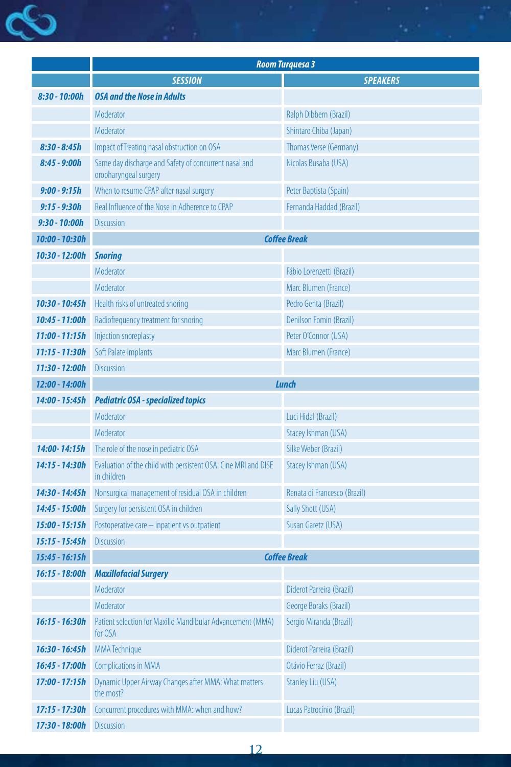

|                  | <b>Room Turquesa 3</b>                                                         |                              |
|------------------|--------------------------------------------------------------------------------|------------------------------|
|                  | <b>SESSION</b>                                                                 | <b>SPEAKERS</b>              |
| $8:30 - 10:00h$  | <b>OSA and the Nose in Adults</b>                                              |                              |
|                  | Moderator                                                                      | Ralph Dibbern (Brazil)       |
|                  | Moderator                                                                      | Shintaro Chiba (Japan)       |
| $8:30 - 8:45h$   | Impact of Treating nasal obstruction on OSA                                    | Thomas Verse (Germany)       |
| 8:45 - 9:00h     | Same day discharge and Safety of concurrent nasal and<br>oropharyngeal surgery | Nicolas Busaba (USA)         |
| $9:00 - 9:15h$   | When to resume CPAP after nasal surgery                                        | Peter Baptista (Spain)       |
| 9:15 - 9:30h     | Real Influence of the Nose in Adherence to CPAP                                | Fernanda Haddad (Brazil)     |
| $9:30 - 10:00h$  | <b>Discussion</b>                                                              |                              |
| 10:00 - 10:30h   | <b>Coffee Break</b>                                                            |                              |
| 10:30 - 12:00h   | <b>Snoring</b>                                                                 |                              |
|                  | Moderator                                                                      | Fábio Lorenzetti (Brazil)    |
|                  | Moderator                                                                      | Marc Blumen (France)         |
| 10:30 - 10:45h   | Health risks of untreated snoring                                              | Pedro Genta (Brazil)         |
| 10:45 - 11:00h   | Radiofrequency treatment for snoring                                           | Denilson Fomin (Brazil)      |
| $11:00 - 11:15h$ | Injection snoreplasty                                                          | Peter O'Connor (USA)         |
| $11:15 - 11:30h$ | Soft Palate Implants                                                           | Marc Blumen (France)         |
| 11:30 - 12:00h   | <b>Discussion</b>                                                              |                              |
| 12:00 - 14:00h   |                                                                                | <b>Lunch</b>                 |
| 14:00 - 15:45h   | <b>Pediatric OSA - specialized topics</b>                                      |                              |
|                  | Moderator                                                                      | Luci Hidal (Brazil)          |
|                  | Moderator                                                                      | Stacey Ishman (USA)          |
| 14:00-14:15h     | The role of the nose in pediatric OSA                                          | Silke Weber (Brazil)         |
| 14:15 - 14:30h   | Evaluation of the child with persistent OSA: Cine MRI and DISE<br>in children  | Stacey Ishman (USA)          |
| 14:30 - 14:45h   | Nonsurgical management of residual OSA in children                             | Renata di Francesco (Brazil) |
| 14:45 - 15:00h   | Surgery for persistent OSA in children                                         | Sally Shott (USA)            |
| 15:00 - 15:15h   | Postoperative care - inpatient vs outpatient                                   | Susan Garetz (USA)           |
| 15:15 - 15:45h   | <b>Discussion</b>                                                              |                              |
| $15:45 - 16:15h$ |                                                                                | <b>Coffee Break</b>          |
| 16:15 - 18:00h   | <b>Maxillofacial Surgery</b>                                                   |                              |
|                  | Moderator                                                                      | Diderot Parreira (Brazil)    |
|                  | Moderator                                                                      | George Boraks (Brazil)       |
| $16:15 - 16:30h$ | Patient selection for Maxillo Mandibular Advancement (MMA)<br>for OSA          | Sergio Miranda (Brazil)      |
| 16:30 - 16:45h   | <b>MMA</b> Technique                                                           | Diderot Parreira (Brazil)    |
| 16:45 - 17:00h   | <b>Complications in MMA</b>                                                    | Otávio Ferraz (Brazil)       |
| 17:00 - 17:15h   | Dynamic Upper Airway Changes after MMA: What matters<br>the most?              | <b>Stanley Liu (USA)</b>     |
| 17:15 - 17:30h   | Concurrent procedures with MMA: when and how?                                  | Lucas Patrocínio (Brazil)    |
| 17:30 - 18:00h   | <b>Discussion</b>                                                              |                              |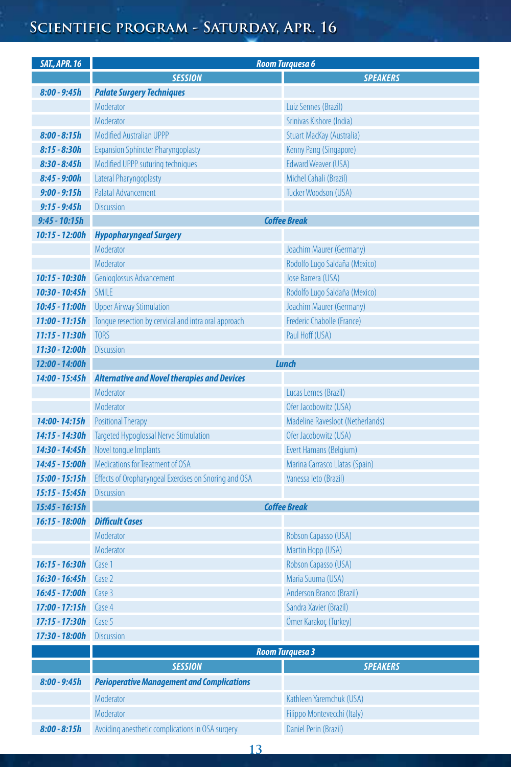# **Scientific program - Saturday, Apr. 16**

| <b>SAT., APR. 16</b>         | Room Turquesa 6                                       |                                  |
|------------------------------|-------------------------------------------------------|----------------------------------|
|                              | <b>SESSION</b>                                        | <b>SPEAKERS</b>                  |
| $8:00 - 9:45h$               | <b>Palate Surgery Techniques</b>                      |                                  |
|                              | Moderator                                             | Luiz Sennes (Brazil)             |
|                              | Moderator                                             | Srinivas Kishore (India)         |
| $8:00 - 8:15h$               | <b>Modified Australian UPPP</b>                       | Stuart MacKay (Australia)        |
| $8:15 - 8:30h$               | <b>Expansion Sphincter Pharyngoplasty</b>             | Kenny Pang (Singapore)           |
| $8:30 - 8:45h$               | Modified UPPP suturing techniques                     | <b>Edward Weaver (USA)</b>       |
| $8:45 - 9:00h$               | Lateral Pharyngoplasty                                | Michel Cahali (Brazil)           |
| $9:00 - 9:15h$               | Palatal Advancement                                   | Tucker Woodson (USA)             |
| $9:15 - 9:45h$               | <b>Discussion</b>                                     |                                  |
| $9:45 - 10:15h$              | <b>Coffee Break</b>                                   |                                  |
| 10:15 - 12:00h               | <b>Hypopharyngeal Surgery</b>                         |                                  |
|                              | <b>Moderator</b>                                      | Joachim Maurer (Germany)         |
|                              | Moderator                                             | Rodolfo Lugo Saldaña (Mexico)    |
| 10:15 - 10:30h               | Genioglossus Advancement                              | Jose Barrera (USA)               |
| 10:30 - 10:45h               | <b>SMILE</b>                                          | Rodolfo Lugo Saldaña (Mexico)    |
| 10:45 - 11:00h               | <b>Upper Airway Stimulation</b>                       | Joachim Maurer (Germany)         |
| 11:00 - 11:15h               | Tongue resection by cervical and intra oral approach  | Frederic Chabolle (France)       |
| $11:15 - 11:30h$             | <b>TORS</b>                                           | Paul Hoff (USA)                  |
| 11:30 - 12:00h               | <b>Discussion</b>                                     |                                  |
| 12:00 - 14:00h               |                                                       | <b>Lunch</b>                     |
| 14:00 - 15:45h               | <b>Alternative and Novel therapies and Devices</b>    |                                  |
|                              | Moderator                                             | Lucas Lemes (Brazil)             |
|                              | Moderator                                             | Ofer Jacobowitz (USA)            |
| 14:00-14:15h                 | <b>Positional Therapy</b>                             | Madeline Ravesloot (Netherlands) |
| 14:15 - 14:30h               | <b>Targeted Hypoglossal Nerve Stimulation</b>         | Ofer Jacobowitz (USA)            |
| 14:30 - 14:45h               | Novel tonque Implants                                 | Evert Hamans (Belgium)           |
| 14:45 - 15:00h               | Medications for Treatment of OSA                      | Marina Carrasco Llatas (Spain)   |
| 15:00 - 15:15h               | Effects of Oropharyngeal Exercises on Snoring and OSA | Vanessa leto (Brazil)            |
| 15:15 - 15:45h               | <b>Discussion</b>                                     |                                  |
| $15:45 - 16:15h$             |                                                       | <b>Coffee Break</b>              |
| 16:15 - 18:00h               | <b>Difficult Cases</b>                                |                                  |
|                              | Moderator                                             | Robson Capasso (USA)             |
|                              | Moderator                                             | Martin Hopp (USA)                |
| $16:15 - 16:30h$             | Case 1                                                | Robson Capasso (USA)             |
| 16:30 - 16:45h               | Case 2                                                | Maria Suurna (USA)               |
| <b>16:45 - 17:00h</b> Case 3 |                                                       | Anderson Branco (Brazil)         |
| $17:00 - 17:15h$             | Case 4                                                | Sandra Xavier (Brazil)           |
| 17:15 - 17:30h Case 5        |                                                       | Ömer Karakoç (Turkey)            |
| 17:30 - 18:00h               | <b>Discussion</b>                                     |                                  |
|                              |                                                       | <b>Room Turquesa 3</b>           |
|                              | <b>SESSION</b>                                        | <b>SPEAKERS</b>                  |
| $8:00 - 9:45h$               | <b>Perioperative Management and Complications</b>     |                                  |
|                              | Moderator                                             | Kathleen Yaremchuk (USA)         |
|                              | Moderator                                             | Filippo Montevecchi (Italy)      |
| $8:00 - 8:15h$               | Avoiding anesthetic complications in OSA surgery      | Daniel Perin (Brazil)            |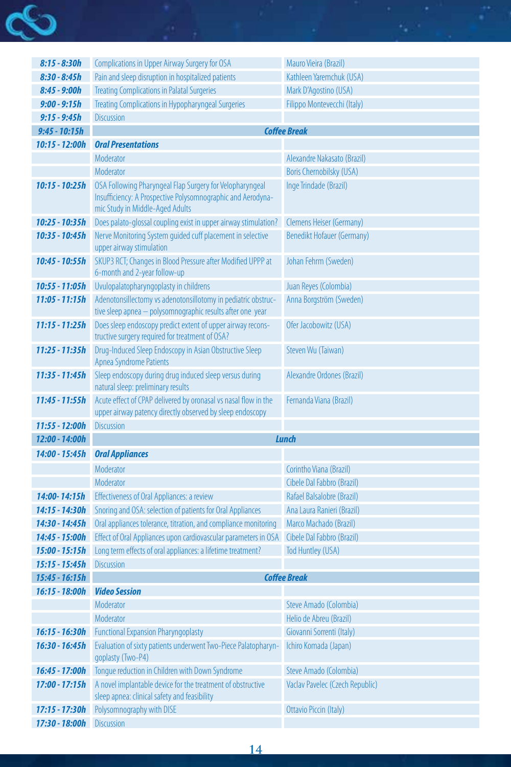

| $8:15 - 8:30h$                   | Complications in Upper Airway Surgery for OSA                                                                                                              | Mauro Vieira (Brazil)           |
|----------------------------------|------------------------------------------------------------------------------------------------------------------------------------------------------------|---------------------------------|
| 8:30 - 8:45h                     | Pain and sleep disruption in hospitalized patients                                                                                                         | Kathleen Yaremchuk (USA)        |
| 8:45 - 9:00h                     | <b>Treating Complications in Palatal Surgeries</b>                                                                                                         | Mark D'Agostino (USA)           |
| 9:00 - 9:15h                     | Treating Complications in Hypopharyngeal Surgeries                                                                                                         | Filippo Montevecchi (Italy)     |
| $9:15 - 9:45h$                   | <b>Discussion</b>                                                                                                                                          |                                 |
| $9:45 - 10:15h$                  | <b>Coffee Break</b>                                                                                                                                        |                                 |
| 10:15 - 12:00h                   | <b>Oral Presentations</b>                                                                                                                                  |                                 |
|                                  | Moderator                                                                                                                                                  | Alexandre Nakasato (Brazil)     |
|                                  | Moderator                                                                                                                                                  | Boris Chernobilsky (USA)        |
| $10:15 - 10:25h$                 | OSA Following Pharyngeal Flap Surgery for Velopharyngeal<br>Insufficiency: A Prospective Polysomnographic and Aerodyna-<br>mic Study in Middle-Aged Adults | Inge Trindade (Brazil)          |
| 10:25 - 10:35h                   | Does palato-glossal coupling exist in upper airway stimulation?                                                                                            | Clemens Heiser (Germany)        |
| 10:35 - 10:45h                   | Nerve Monitoring System guided cuff placement in selective<br>upper airway stimulation                                                                     | Benedikt Hofauer (Germany)      |
| 10:45 - 10:55h                   | SKUP3 RCT; Changes in Blood Pressure after Modified UPPP at<br>6-month and 2-year follow-up                                                                | Johan Fehrm (Sweden)            |
|                                  | <b>10:55 - 11:05h</b> Uvulopalatopharyngoplasty in childrens                                                                                               | Juan Reyes (Colombia)           |
| 11:05 - 11:15h                   | Adenotonsillectomy vs adenotonsillotomy in pediatric obstruc-<br>tive sleep apnea - polysomnographic results after one year                                | Anna Borgström (Sweden)         |
| $11:15 - 11:25h$                 | Does sleep endoscopy predict extent of upper airway recons-<br>tructive surgery required for treatment of OSA?                                             | Ofer Jacobowitz (USA)           |
| 11:25 - 11:35h                   | Drug-Induced Sleep Endoscopy in Asian Obstructive Sleep<br>Apnea Syndrome Patients                                                                         | Steven Wu (Taiwan)              |
| $11:35 - 11:45h$                 | Sleep endoscopy during drug induced sleep versus during<br>natural sleep: preliminary results                                                              | Alexandre Ordones (Brazil)      |
|                                  |                                                                                                                                                            |                                 |
| $11:45 - 11:55h$                 | Acute effect of CPAP delivered by oronasal vs nasal flow in the<br>upper airway patency directly observed by sleep endoscopy                               | Fernanda Viana (Brazil)         |
| 11:55 - 12:00h                   | <b>Discussion</b>                                                                                                                                          |                                 |
| 12:00 - 14:00h                   |                                                                                                                                                            | <b>Lunch</b>                    |
| 14:00 - 15:45h                   | <b>Oral Appliances</b>                                                                                                                                     |                                 |
|                                  | Moderator                                                                                                                                                  | Corintho Viana (Brazil)         |
|                                  | Moderator                                                                                                                                                  | Cibele Dal Fabbro (Brazil)      |
|                                  | <b>14:00-14:15h</b> Effectiveness of Oral Appliances: a review                                                                                             | Rafael Balsalobre (Brazil)      |
|                                  | <b>14:15 - 14:30h</b> Snoring and OSA: selection of patients for Oral Appliances                                                                           | Ana Laura Ranieri (Brazil)      |
|                                  | 14:30 - 14:45h Oral appliances tolerance, titration, and compliance monitoring Marco Machado (Brazil)                                                      |                                 |
|                                  | 14:45 - 15:00h Effect of Oral Appliances upon cardiovascular parameters in OSA Cibele Dal Fabbro (Brazil)                                                  |                                 |
|                                  | <b>15:00 - 15:15h</b> Long term effects of oral appliances: a lifetime treatment?                                                                          | Tod Huntley (USA)               |
| <b>15:15 - 15:45h</b> Discussion |                                                                                                                                                            |                                 |
| 15:45 - 16:15h                   |                                                                                                                                                            | <b>Coffee Break</b>             |
| 16:15 - 18:00h Video Session     |                                                                                                                                                            |                                 |
|                                  | Moderator                                                                                                                                                  | Steve Amado (Colombia)          |
|                                  | Moderator                                                                                                                                                  | Helio de Abreu (Brazil)         |
|                                  | 16:15 - 16:30h Functional Expansion Pharyngoplasty                                                                                                         | Giovanni Sorrenti (Italy)       |
| 16:30 - 16:45h                   | Evaluation of sixty patients underwent Two-Piece Palatopharyn-<br>qoplasty (Two-P4)                                                                        | Ichiro Komada (Japan)           |
| 16:45 - 17:00h                   | Tongue reduction in Children with Down Syndrome                                                                                                            | Steve Amado (Colombia)          |
| 17:00 - 17:15h                   | A novel implantable device for the treatment of obstructive<br>sleep apnea: clinical safety and feasibility                                                | Vaclav Pavelec (Czech Republic) |
| 17:15 - 17:30h<br>17:30 - 18:00h | Polysomnography with DISE<br><b>Discussion</b>                                                                                                             | Ottavio Piccin (Italy)          |